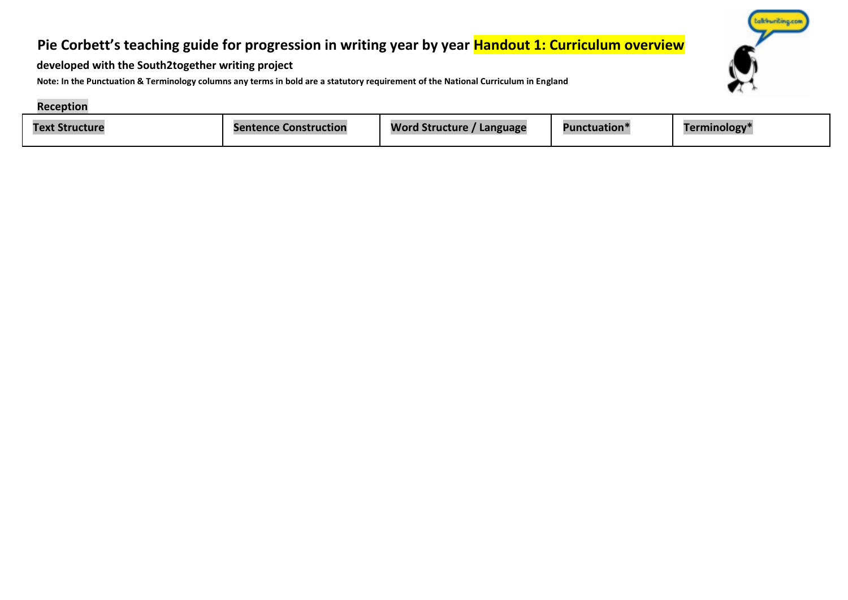# **Pie Corbett's teaching guide for progression in writing year by year Handout 1: Curriculum overview**



**developed with the South2together writing project** 

**Note: In the Punctuation & Terminology columns any terms in bold are a statutory requirement of the National Curriculum in England** 

#### **Reception**

| Text<br>. Structurr | <b>Sentence Construction</b> | <b>Word Structure</b><br>Language | <b>Punctuation</b> <sup>*</sup> | <b>Ferminology</b> * |
|---------------------|------------------------------|-----------------------------------|---------------------------------|----------------------|
|---------------------|------------------------------|-----------------------------------|---------------------------------|----------------------|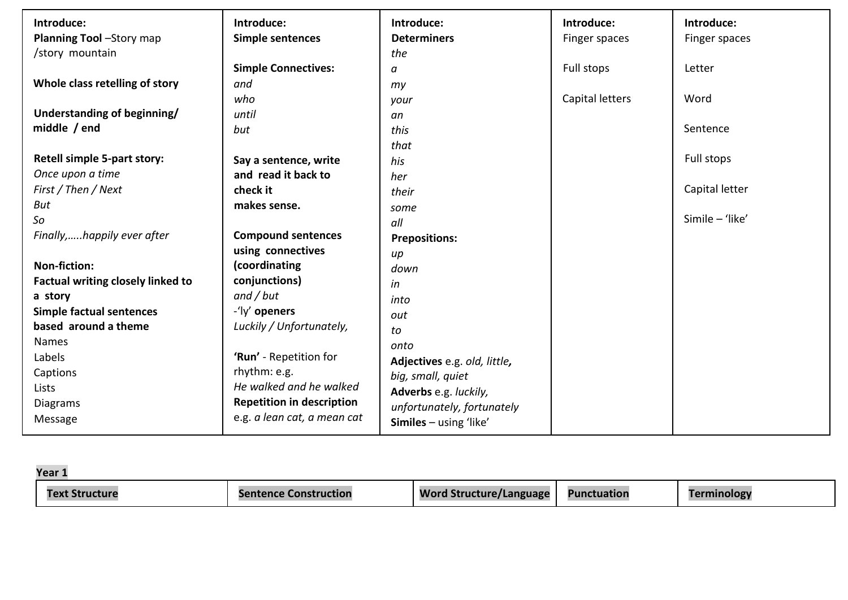| Introduce:                               | Introduce:                       | Introduce:                      | Introduce:      | Introduce:      |
|------------------------------------------|----------------------------------|---------------------------------|-----------------|-----------------|
| Planning Tool -Story map                 | <b>Simple sentences</b>          | <b>Determiners</b>              | Finger spaces   | Finger spaces   |
| /story mountain                          |                                  | the                             |                 |                 |
|                                          | <b>Simple Connectives:</b>       | a                               | Full stops      | Letter          |
| Whole class retelling of story           | and                              | my                              |                 |                 |
|                                          | who                              | your                            | Capital letters | Word            |
| Understanding of beginning/              | until                            | an                              |                 |                 |
| middle / end                             | but                              | this                            |                 | Sentence        |
|                                          |                                  | that                            |                 |                 |
| Retell simple 5-part story:              | Say a sentence, write            | his                             |                 | Full stops      |
| Once upon a time                         | and read it back to              | her                             |                 |                 |
| First / Then / Next                      | check it                         | their                           |                 | Capital letter  |
| But                                      | makes sense.                     | some                            |                 |                 |
| So                                       |                                  | all                             |                 | Simile - 'like' |
| Finally,happily ever after               | <b>Compound sentences</b>        | <b>Prepositions:</b>            |                 |                 |
|                                          | using connectives                | $\mu$                           |                 |                 |
| <b>Non-fiction:</b>                      | (coordinating                    | down                            |                 |                 |
| <b>Factual writing closely linked to</b> | conjunctions)                    | in                              |                 |                 |
| a story                                  | and / but                        | into                            |                 |                 |
| <b>Simple factual sentences</b>          | -'ly' openers                    | out                             |                 |                 |
| based around a theme                     | Luckily / Unfortunately,         | to                              |                 |                 |
| <b>Names</b>                             |                                  | onto                            |                 |                 |
| Labels                                   | 'Run' - Repetition for           | Adjectives e.g. old, little,    |                 |                 |
| Captions                                 | rhythm: e.g.                     | big, small, quiet               |                 |                 |
| Lists                                    | He walked and he walked          | Adverbs e.g. luckily,           |                 |                 |
| <b>Diagrams</b>                          | <b>Repetition in description</b> | unfortunately, fortunately      |                 |                 |
| Message                                  | e.g. a lean cat, a mean cat      | <b>Similes</b> $-$ using 'like' |                 |                 |

| Year :  |                              |                            |                    |          |
|---------|------------------------------|----------------------------|--------------------|----------|
| ructure | <b>Sentence Construction</b> | Word<br>structure/Language | <b>Punctuation</b> | nınology |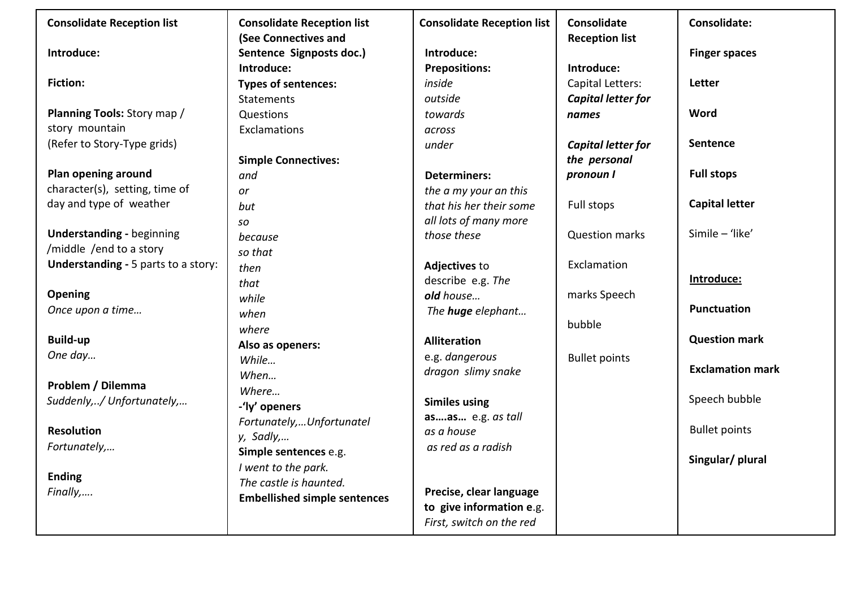| <b>Consolidate Reception list</b>          | <b>Consolidate Reception list</b>   | <b>Consolidate Reception list</b> | <b>Consolidate</b>    | <b>Consolidate:</b>     |
|--------------------------------------------|-------------------------------------|-----------------------------------|-----------------------|-------------------------|
|                                            | (See Connectives and                |                                   | <b>Reception list</b> |                         |
| Introduce:                                 | Sentence Signposts doc.)            | Introduce:                        |                       | <b>Finger spaces</b>    |
|                                            | Introduce:                          | <b>Prepositions:</b>              | Introduce:            |                         |
| <b>Fiction:</b>                            | <b>Types of sentences:</b>          | inside                            | Capital Letters:      | Letter                  |
|                                            | <b>Statements</b>                   | outside                           | Capital letter for    |                         |
| Planning Tools: Story map /                | Questions                           | towards                           | names                 | Word                    |
| story mountain                             | Exclamations                        | across                            |                       |                         |
| (Refer to Story-Type grids)                |                                     | under                             | Capital letter for    | <b>Sentence</b>         |
|                                            | <b>Simple Connectives:</b>          |                                   | the personal          |                         |
| Plan opening around                        | and                                 | <b>Determiners:</b>               | pronoun I             | <b>Full stops</b>       |
| character(s), setting, time of             | or                                  | the a my your an this             |                       |                         |
| day and type of weather                    | but                                 | that his her their some           | Full stops            | <b>Capital letter</b>   |
|                                            | SO                                  | all lots of many more             |                       |                         |
| <b>Understanding - beginning</b>           | because                             | those these                       | <b>Question marks</b> | Simile - 'like'         |
| /middle /end to a story                    | so that                             |                                   |                       |                         |
| <b>Understanding - 5 parts to a story:</b> | then                                | Adjectives to                     | Exclamation           |                         |
|                                            | that                                | describe e.g. The                 |                       | Introduce:              |
| <b>Opening</b>                             | while                               | old house                         | marks Speech          |                         |
| Once upon a time                           | when                                | The <b>huge</b> elephant          |                       | <b>Punctuation</b>      |
|                                            | where                               |                                   | bubble                |                         |
| <b>Build-up</b>                            | Also as openers:                    | <b>Alliteration</b>               |                       | <b>Question mark</b>    |
| One day                                    | While                               | e.g. dangerous                    | <b>Bullet points</b>  |                         |
|                                            | When                                | dragon slimy snake                |                       | <b>Exclamation mark</b> |
| Problem / Dilemma                          | Where                               |                                   |                       |                         |
| Suddenly,/ Unfortunately,                  | -'ly' openers                       | <b>Similes using</b>              |                       | Speech bubble           |
|                                            | Fortunately,Unfortunatel            | asas e.g. as tall                 |                       |                         |
| <b>Resolution</b>                          | y, Sadly,                           | as a house                        |                       | <b>Bullet points</b>    |
| Fortunately,                               | Simple sentences e.g.               | as red as a radish                |                       |                         |
|                                            | I went to the park.                 |                                   |                       | Singular/ plural        |
| <b>Ending</b>                              | The castle is haunted.              |                                   |                       |                         |
| Finally,                                   | <b>Embellished simple sentences</b> | Precise, clear language           |                       |                         |
|                                            |                                     | to give information e.g.          |                       |                         |
|                                            |                                     | First, switch on the red          |                       |                         |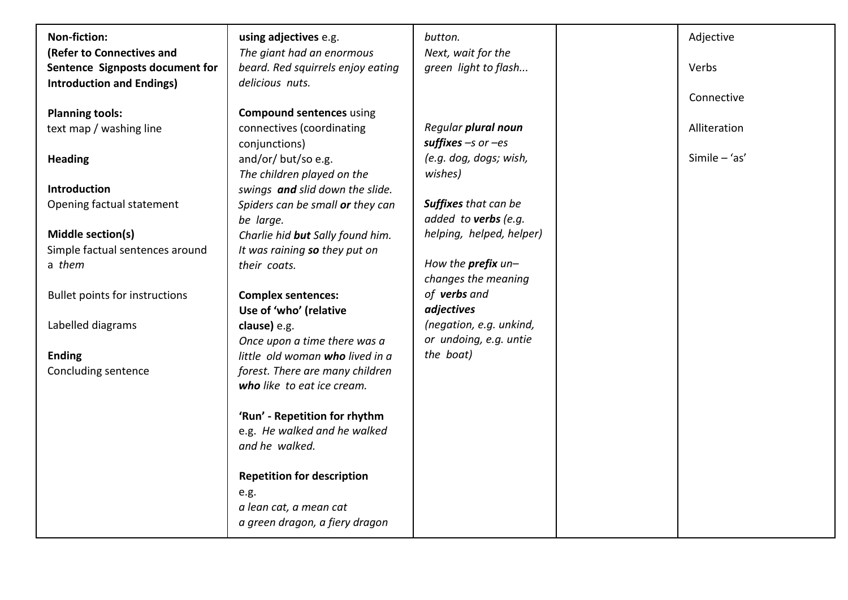| <b>Non-fiction:</b>                   | using adjectives e.g.             | button.                     | Adjective       |
|---------------------------------------|-----------------------------------|-----------------------------|-----------------|
| (Refer to Connectives and             | The giant had an enormous         | Next, wait for the          |                 |
| Sentence Signposts document for       | beard. Red squirrels enjoy eating | green light to flash        | Verbs           |
| <b>Introduction and Endings)</b>      | delicious nuts.                   |                             |                 |
|                                       |                                   |                             | Connective      |
| <b>Planning tools:</b>                | <b>Compound sentences using</b>   |                             |                 |
| text map / washing line               | connectives (coordinating         | Regular plural noun         | Alliteration    |
|                                       | conjunctions)                     | suffixes $-s$ or $-es$      |                 |
| <b>Heading</b>                        | and/or/ but/so e.g.               | (e.g. dog, dogs; wish,      | Simile $-$ 'as' |
|                                       | The children played on the        | wishes)                     |                 |
| <b>Introduction</b>                   | swings and slid down the slide.   |                             |                 |
| Opening factual statement             | Spiders can be small or they can  | <b>Suffixes</b> that can be |                 |
|                                       | be large.                         | added to verbs (e.g.        |                 |
| Middle section(s)                     | Charlie hid but Sally found him.  | helping, helped, helper)    |                 |
| Simple factual sentences around       | It was raining so they put on     |                             |                 |
| a them                                | their coats.                      | How the prefix un-          |                 |
|                                       |                                   | changes the meaning         |                 |
| <b>Bullet points for instructions</b> | <b>Complex sentences:</b>         | of verbs and                |                 |
|                                       | Use of 'who' (relative            | adjectives                  |                 |
| Labelled diagrams                     | clause) e.g.                      | (negation, e.g. unkind,     |                 |
|                                       | Once upon a time there was a      | or undoing, e.g. untie      |                 |
| <b>Ending</b>                         | little old woman who lived in a   | the boat)                   |                 |
| Concluding sentence                   | forest. There are many children   |                             |                 |
|                                       | who like to eat ice cream.        |                             |                 |
|                                       |                                   |                             |                 |
|                                       | 'Run' - Repetition for rhythm     |                             |                 |
|                                       | e.g. He walked and he walked      |                             |                 |
|                                       | and he walked.                    |                             |                 |
|                                       |                                   |                             |                 |
|                                       | <b>Repetition for description</b> |                             |                 |
|                                       | e.g.                              |                             |                 |
|                                       | a lean cat, a mean cat            |                             |                 |
|                                       | a green dragon, a fiery dragon    |                             |                 |
|                                       |                                   |                             |                 |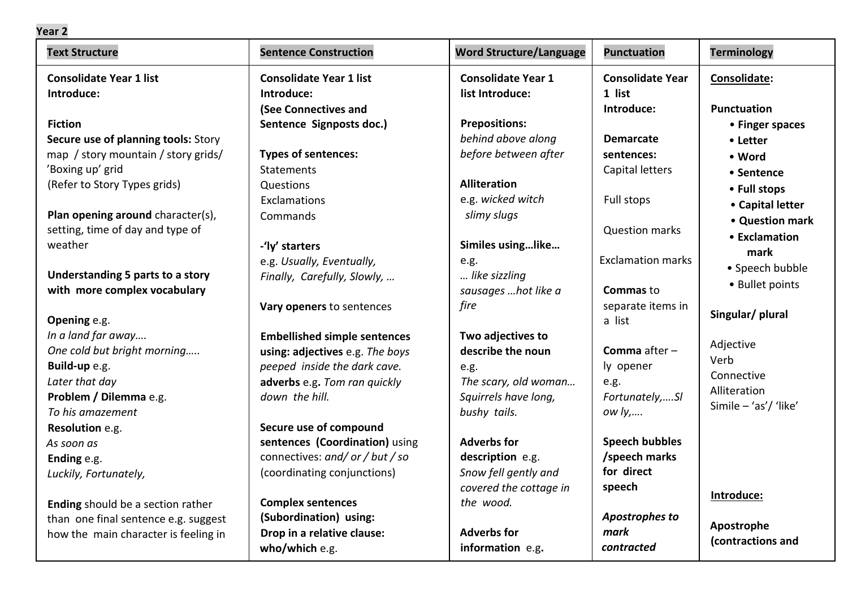| <b>Text Structure</b>                | <b>Sentence Construction</b>        | <b>Word Structure/Language</b> | <b>Punctuation</b>       | <b>Terminology</b>    |
|--------------------------------------|-------------------------------------|--------------------------------|--------------------------|-----------------------|
| <b>Consolidate Year 1 list</b>       | <b>Consolidate Year 1 list</b>      | <b>Consolidate Year 1</b>      | <b>Consolidate Year</b>  | Consolidate:          |
| Introduce:                           | Introduce:                          | list Introduce:                | 1 list                   |                       |
|                                      | (See Connectives and                |                                | Introduce:               | <b>Punctuation</b>    |
| <b>Fiction</b>                       | Sentence Signposts doc.)            | <b>Prepositions:</b>           |                          | • Finger spaces       |
| Secure use of planning tools: Story  |                                     | behind above along             | <b>Demarcate</b>         | • Letter              |
| map / story mountain / story grids/  | <b>Types of sentences:</b>          | before between after           | sentences:               | • Word                |
| 'Boxing up' grid                     | <b>Statements</b>                   |                                | Capital letters          | • Sentence            |
| (Refer to Story Types grids)         | Questions                           | <b>Alliteration</b>            |                          | • Full stops          |
|                                      | Exclamations                        | e.g. wicked witch              | Full stops               | • Capital letter      |
| Plan opening around character(s),    | Commands                            | slimy slugs                    |                          | • Question mark       |
| setting, time of day and type of     |                                     |                                | <b>Question marks</b>    | • Exclamation         |
| weather                              | -'ly' starters                      | Similes usinglike              |                          | mark                  |
|                                      | e.g. Usually, Eventually,           | e.g.                           | <b>Exclamation marks</b> | • Speech bubble       |
| Understanding 5 parts to a story     | Finally, Carefully, Slowly,         | like sizzling                  |                          | • Bullet points       |
| with more complex vocabulary         |                                     | sausages  hot like a           | <b>Commas to</b>         |                       |
|                                      | Vary openers to sentences           | fire                           | separate items in        | Singular/ plural      |
| Opening e.g.                         |                                     |                                | a list                   |                       |
| In a land far away                   | <b>Embellished simple sentences</b> | Two adjectives to              |                          | Adjective             |
| One cold but bright morning          | using: adjectives e.g. The boys     | describe the noun              | <b>Comma</b> after $-$   | Verb                  |
| Build-up e.g.                        | peeped inside the dark cave.        | e.g.                           | ly opener                | Connective            |
| Later that day                       | adverbs e.g. Tom ran quickly        | The scary, old woman           | e.g.                     | Alliteration          |
| Problem / Dilemma e.g.               | down the hill.                      | Squirrels have long,           | Fortunately,SI           | Simile - 'as'/ 'like' |
| To his amazement                     |                                     | bushy tails.                   | ow <i>ly</i> ,           |                       |
| Resolution e.g.                      | Secure use of compound              |                                |                          |                       |
| As soon as                           | sentences (Coordination) using      | <b>Adverbs for</b>             | <b>Speech bubbles</b>    |                       |
| Ending e.g.                          | connectives: and/ or / but / so     | description e.g.               | /speech marks            |                       |
| Luckily, Fortunately,                | (coordinating conjunctions)         | Snow fell gently and           | for direct               |                       |
|                                      |                                     | covered the cottage in         | speech                   | Introduce:            |
| Ending should be a section rather    | <b>Complex sentences</b>            | the wood.                      |                          |                       |
| than one final sentence e.g. suggest | (Subordination) using:              |                                | <b>Apostrophes to</b>    | Apostrophe            |
| how the main character is feeling in | Drop in a relative clause:          | <b>Adverbs for</b>             | mark                     | (contractions and     |
|                                      | who/which e.g.                      | information e.g.               | contracted               |                       |

## **Year 2**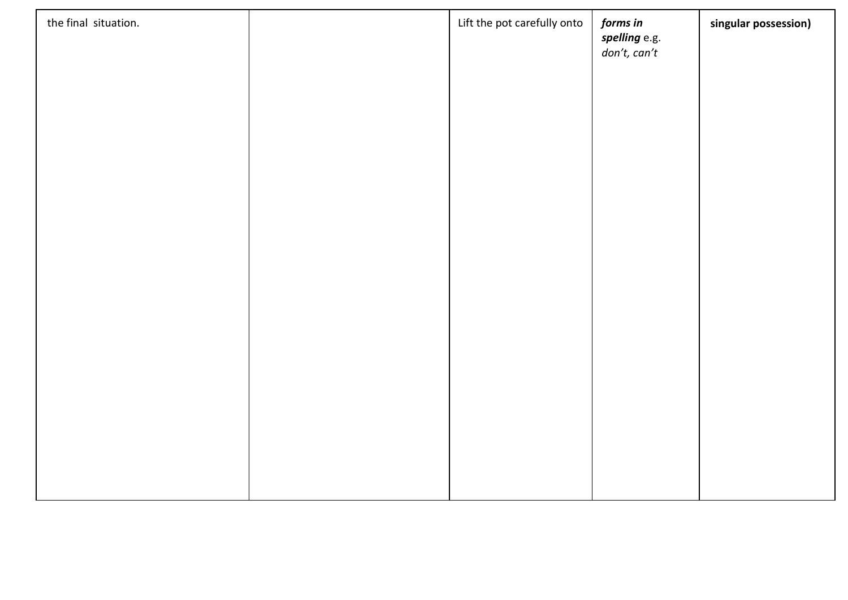| the final situation. | Lift the pot carefully onto | forms in<br>spelling e.g.<br>$don't, can't$ | singular possession) |
|----------------------|-----------------------------|---------------------------------------------|----------------------|
|                      |                             |                                             |                      |
|                      |                             |                                             |                      |
|                      |                             |                                             |                      |
|                      |                             |                                             |                      |
|                      |                             |                                             |                      |
|                      |                             |                                             |                      |
|                      |                             |                                             |                      |
|                      |                             |                                             |                      |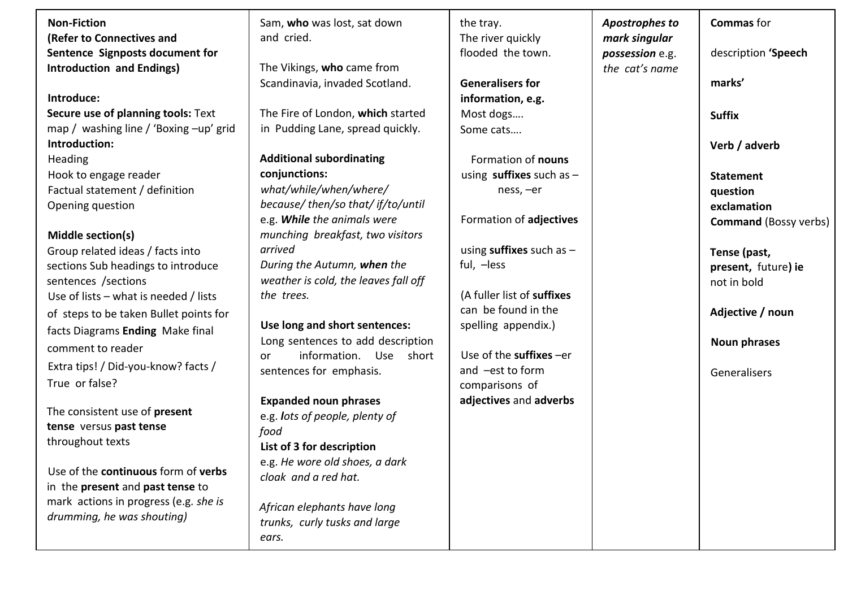| <b>Non-Fiction</b><br>Sam, who was lost, sat down<br><b>Commas</b> for<br>the tray.<br><b>Apostrophes to</b><br>(Refer to Connectives and<br>and cried.<br>The river quickly<br>mark singular<br>Sentence Signposts document for<br>flooded the town.<br>possession e.g.<br>the cat's name<br><b>Introduction and Endings)</b><br>The Vikings, who came from<br>marks'<br><b>Generalisers for</b><br>Scandinavia, invaded Scotland.<br>Introduce:<br>information, e.g.<br>The Fire of London, which started<br>Secure use of planning tools: Text<br>Most dogs<br><b>Suffix</b><br>map / washing line / 'Boxing -up' grid<br>in Pudding Lane, spread quickly.<br>Some cats<br>Introduction:<br>Verb / adverb<br><b>Additional subordinating</b><br>Heading<br>Formation of nouns<br>Hook to engage reader<br>conjunctions:<br>using suffixes such as $-$<br><b>Statement</b><br>what/while/when/where/<br>Factual statement / definition<br>ness, -er<br>question<br>because/ then/so that/ if/to/until<br>Opening question<br>exclamation<br>e.g. While the animals were<br>Formation of adjectives<br>munching breakfast, two visitors<br>Middle section(s)<br>using suffixes such as $-$<br>arrived<br>Group related ideas / facts into | description 'Speech          |
|--------------------------------------------------------------------------------------------------------------------------------------------------------------------------------------------------------------------------------------------------------------------------------------------------------------------------------------------------------------------------------------------------------------------------------------------------------------------------------------------------------------------------------------------------------------------------------------------------------------------------------------------------------------------------------------------------------------------------------------------------------------------------------------------------------------------------------------------------------------------------------------------------------------------------------------------------------------------------------------------------------------------------------------------------------------------------------------------------------------------------------------------------------------------------------------------------------------------------------------------|------------------------------|
|                                                                                                                                                                                                                                                                                                                                                                                                                                                                                                                                                                                                                                                                                                                                                                                                                                                                                                                                                                                                                                                                                                                                                                                                                                            |                              |
|                                                                                                                                                                                                                                                                                                                                                                                                                                                                                                                                                                                                                                                                                                                                                                                                                                                                                                                                                                                                                                                                                                                                                                                                                                            |                              |
|                                                                                                                                                                                                                                                                                                                                                                                                                                                                                                                                                                                                                                                                                                                                                                                                                                                                                                                                                                                                                                                                                                                                                                                                                                            |                              |
|                                                                                                                                                                                                                                                                                                                                                                                                                                                                                                                                                                                                                                                                                                                                                                                                                                                                                                                                                                                                                                                                                                                                                                                                                                            |                              |
|                                                                                                                                                                                                                                                                                                                                                                                                                                                                                                                                                                                                                                                                                                                                                                                                                                                                                                                                                                                                                                                                                                                                                                                                                                            |                              |
|                                                                                                                                                                                                                                                                                                                                                                                                                                                                                                                                                                                                                                                                                                                                                                                                                                                                                                                                                                                                                                                                                                                                                                                                                                            |                              |
|                                                                                                                                                                                                                                                                                                                                                                                                                                                                                                                                                                                                                                                                                                                                                                                                                                                                                                                                                                                                                                                                                                                                                                                                                                            |                              |
|                                                                                                                                                                                                                                                                                                                                                                                                                                                                                                                                                                                                                                                                                                                                                                                                                                                                                                                                                                                                                                                                                                                                                                                                                                            |                              |
|                                                                                                                                                                                                                                                                                                                                                                                                                                                                                                                                                                                                                                                                                                                                                                                                                                                                                                                                                                                                                                                                                                                                                                                                                                            |                              |
|                                                                                                                                                                                                                                                                                                                                                                                                                                                                                                                                                                                                                                                                                                                                                                                                                                                                                                                                                                                                                                                                                                                                                                                                                                            |                              |
|                                                                                                                                                                                                                                                                                                                                                                                                                                                                                                                                                                                                                                                                                                                                                                                                                                                                                                                                                                                                                                                                                                                                                                                                                                            |                              |
|                                                                                                                                                                                                                                                                                                                                                                                                                                                                                                                                                                                                                                                                                                                                                                                                                                                                                                                                                                                                                                                                                                                                                                                                                                            |                              |
|                                                                                                                                                                                                                                                                                                                                                                                                                                                                                                                                                                                                                                                                                                                                                                                                                                                                                                                                                                                                                                                                                                                                                                                                                                            |                              |
|                                                                                                                                                                                                                                                                                                                                                                                                                                                                                                                                                                                                                                                                                                                                                                                                                                                                                                                                                                                                                                                                                                                                                                                                                                            | <b>Command (Bossy verbs)</b> |
|                                                                                                                                                                                                                                                                                                                                                                                                                                                                                                                                                                                                                                                                                                                                                                                                                                                                                                                                                                                                                                                                                                                                                                                                                                            |                              |
|                                                                                                                                                                                                                                                                                                                                                                                                                                                                                                                                                                                                                                                                                                                                                                                                                                                                                                                                                                                                                                                                                                                                                                                                                                            | Tense (past,                 |
| During the Autumn, when the<br>ful, -less<br>sections Sub headings to introduce                                                                                                                                                                                                                                                                                                                                                                                                                                                                                                                                                                                                                                                                                                                                                                                                                                                                                                                                                                                                                                                                                                                                                            | present, future) ie          |
| weather is cold, the leaves fall off<br>sentences /sections<br>not in bold                                                                                                                                                                                                                                                                                                                                                                                                                                                                                                                                                                                                                                                                                                                                                                                                                                                                                                                                                                                                                                                                                                                                                                 |                              |
| (A fuller list of suffixes<br>the trees.<br>Use of lists $-$ what is needed / lists                                                                                                                                                                                                                                                                                                                                                                                                                                                                                                                                                                                                                                                                                                                                                                                                                                                                                                                                                                                                                                                                                                                                                        |                              |
| can be found in the<br>Adjective / noun<br>of steps to be taken Bullet points for                                                                                                                                                                                                                                                                                                                                                                                                                                                                                                                                                                                                                                                                                                                                                                                                                                                                                                                                                                                                                                                                                                                                                          |                              |
| Use long and short sentences:<br>spelling appendix.)<br>facts Diagrams Ending Make final                                                                                                                                                                                                                                                                                                                                                                                                                                                                                                                                                                                                                                                                                                                                                                                                                                                                                                                                                                                                                                                                                                                                                   |                              |
| Long sentences to add description<br>Noun phrases<br>comment to reader                                                                                                                                                                                                                                                                                                                                                                                                                                                                                                                                                                                                                                                                                                                                                                                                                                                                                                                                                                                                                                                                                                                                                                     |                              |
| Use of the suffixes -er<br>information. Use short<br>or<br>Extra tips! / Did-you-know? facts /                                                                                                                                                                                                                                                                                                                                                                                                                                                                                                                                                                                                                                                                                                                                                                                                                                                                                                                                                                                                                                                                                                                                             |                              |
| and -est to form<br>sentences for emphasis.<br>Generalisers                                                                                                                                                                                                                                                                                                                                                                                                                                                                                                                                                                                                                                                                                                                                                                                                                                                                                                                                                                                                                                                                                                                                                                                |                              |
| True or false?<br>comparisons of                                                                                                                                                                                                                                                                                                                                                                                                                                                                                                                                                                                                                                                                                                                                                                                                                                                                                                                                                                                                                                                                                                                                                                                                           |                              |
| <b>Expanded noun phrases</b><br>adjectives and adverbs<br>The consistent use of present                                                                                                                                                                                                                                                                                                                                                                                                                                                                                                                                                                                                                                                                                                                                                                                                                                                                                                                                                                                                                                                                                                                                                    |                              |
| e.g. lots of people, plenty of<br>tense versus past tense                                                                                                                                                                                                                                                                                                                                                                                                                                                                                                                                                                                                                                                                                                                                                                                                                                                                                                                                                                                                                                                                                                                                                                                  |                              |
| food<br>throughout texts                                                                                                                                                                                                                                                                                                                                                                                                                                                                                                                                                                                                                                                                                                                                                                                                                                                                                                                                                                                                                                                                                                                                                                                                                   |                              |
| List of 3 for description                                                                                                                                                                                                                                                                                                                                                                                                                                                                                                                                                                                                                                                                                                                                                                                                                                                                                                                                                                                                                                                                                                                                                                                                                  |                              |
| e.g. He wore old shoes, a dark<br>Use of the continuous form of verbs                                                                                                                                                                                                                                                                                                                                                                                                                                                                                                                                                                                                                                                                                                                                                                                                                                                                                                                                                                                                                                                                                                                                                                      |                              |
| cloak and a red hat.<br>in the present and past tense to                                                                                                                                                                                                                                                                                                                                                                                                                                                                                                                                                                                                                                                                                                                                                                                                                                                                                                                                                                                                                                                                                                                                                                                   |                              |
| mark actions in progress (e.g. she is                                                                                                                                                                                                                                                                                                                                                                                                                                                                                                                                                                                                                                                                                                                                                                                                                                                                                                                                                                                                                                                                                                                                                                                                      |                              |
| African elephants have long<br>drumming, he was shouting)                                                                                                                                                                                                                                                                                                                                                                                                                                                                                                                                                                                                                                                                                                                                                                                                                                                                                                                                                                                                                                                                                                                                                                                  |                              |
| trunks, curly tusks and large                                                                                                                                                                                                                                                                                                                                                                                                                                                                                                                                                                                                                                                                                                                                                                                                                                                                                                                                                                                                                                                                                                                                                                                                              |                              |
| ears.                                                                                                                                                                                                                                                                                                                                                                                                                                                                                                                                                                                                                                                                                                                                                                                                                                                                                                                                                                                                                                                                                                                                                                                                                                      |                              |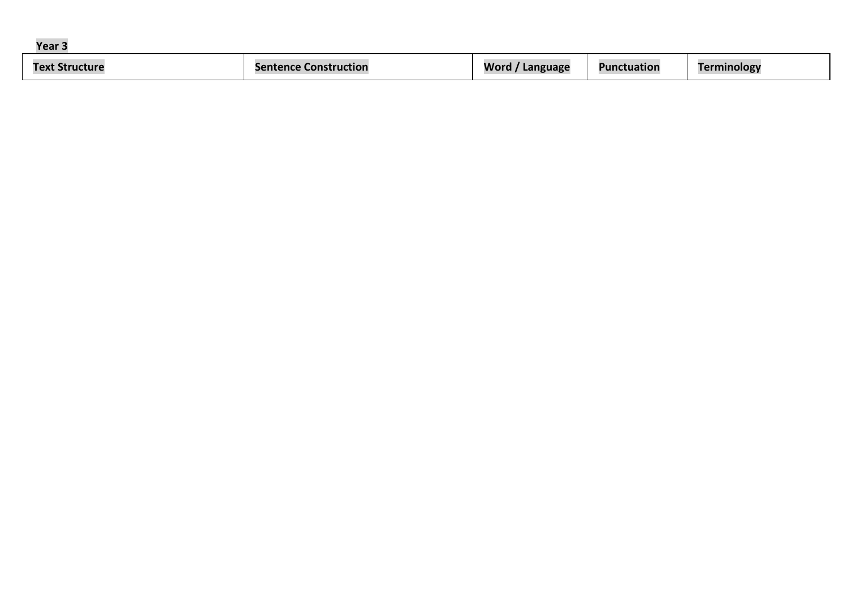| Year          |              |                  |                 |                     |
|---------------|--------------|------------------|-----------------|---------------------|
| <b>Text S</b> | Construction | Word<br>Language | Punct<br>uation | יפסוסו<br><u>о.</u> |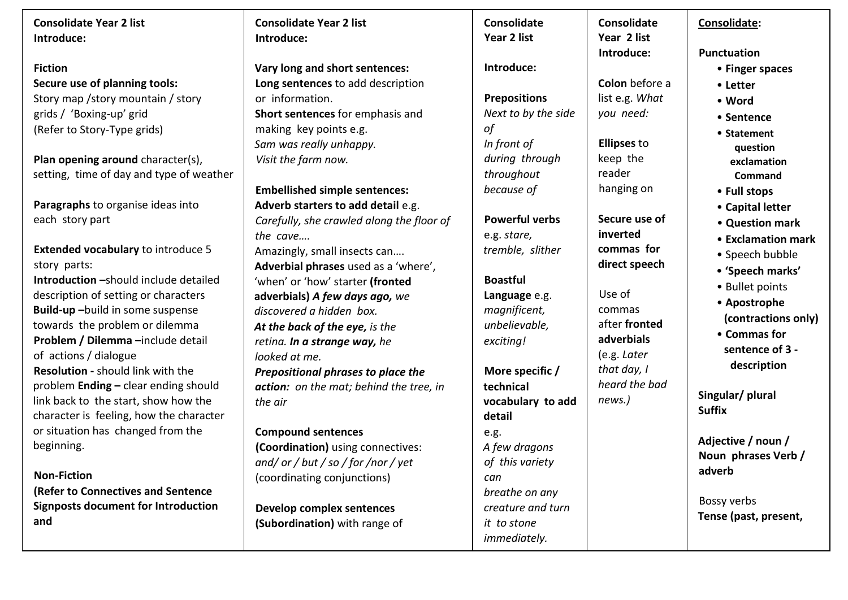| <b>Consolidate Year 2 list</b>             | <b>Consolidate Year 2 list</b>            | Consolidate           | Consolidate        | Consolidate:          |
|--------------------------------------------|-------------------------------------------|-----------------------|--------------------|-----------------------|
| Introduce:                                 | Introduce:                                | Year 2 list           | Year 2 list        |                       |
|                                            |                                           |                       | Introduce:         | <b>Punctuation</b>    |
| <b>Fiction</b>                             | Vary long and short sentences:            | Introduce:            |                    | • Finger spaces       |
| Secure use of planning tools:              | Long sentences to add description         |                       | Colon before a     | • Letter              |
| Story map / story mountain / story         | or information.                           | <b>Prepositions</b>   | list e.g. What     | • Word                |
| grids / 'Boxing-up' grid                   | Short sentences for emphasis and          | Next to by the side   | you need:          | • Sentence            |
| (Refer to Story-Type grids)                | making key points e.g.                    | οf                    |                    | • Statement           |
|                                            | Sam was really unhappy.                   | In front of           | <b>Ellipses to</b> | question              |
| Plan opening around character(s),          | Visit the farm now.                       | during through        | keep the           | exclamation           |
| setting, time of day and type of weather   |                                           | throughout            | reader             | Command               |
|                                            | <b>Embellished simple sentences:</b>      | because of            | hanging on         | • Full stops          |
| Paragraphs to organise ideas into          | Adverb starters to add detail e.g.        |                       |                    | • Capital letter      |
| each story part                            | Carefully, she crawled along the floor of | <b>Powerful verbs</b> | Secure use of      | • Question mark       |
|                                            | the cave                                  | e.g. stare,           | inverted           | • Exclamation mark    |
| <b>Extended vocabulary to introduce 5</b>  | Amazingly, small insects can              | tremble, slither      | commas for         | • Speech bubble       |
| story parts:                               | Adverbial phrases used as a 'where',      |                       | direct speech      | • 'Speech marks'      |
| Introduction - should include detailed     | 'when' or 'how' starter (fronted          | <b>Boastful</b>       |                    | • Bullet points       |
| description of setting or characters       | adverbials) A few days ago, we            | Language e.g.         | Use of             | • Apostrophe          |
| Build-up-build in some suspense            | discovered a hidden box.                  | magnificent,          | commas             | (contractions only)   |
| towards the problem or dilemma             | At the back of the eye, is the            | unbelievable,         | after fronted      | • Commas for          |
| Problem / Dilemma -include detail          | retina. In a strange way, he              | exciting!             | adverbials         | sentence of 3 -       |
| of actions / dialogue                      | looked at me.                             |                       | (e.g. Later        | description           |
| <b>Resolution - should link with the</b>   | Prepositional phrases to place the        | More specific /       | that day, I        |                       |
| problem Ending - clear ending should       | action: on the mat; behind the tree, in   | technical             | heard the bad      | Singular/ plural      |
| link back to the start, show how the       | the air                                   | vocabulary to add     | news.)             | <b>Suffix</b>         |
| character is feeling, how the character    |                                           | detail                |                    |                       |
| or situation has changed from the          | <b>Compound sentences</b>                 | e.g.                  |                    | Adjective / noun /    |
| beginning.                                 | (Coordination) using connectives:         | A few dragons         |                    | Noun phrases Verb /   |
|                                            | and/or/but/so/for/nor/yet                 | of this variety       |                    | adverb                |
| <b>Non-Fiction</b>                         | (coordinating conjunctions)               | can                   |                    |                       |
| (Refer to Connectives and Sentence         |                                           | breathe on any        |                    | Bossy verbs           |
| <b>Signposts document for Introduction</b> | Develop complex sentences                 | creature and turn     |                    | Tense (past, present, |
| and                                        | (Subordination) with range of             | it to stone           |                    |                       |
|                                            |                                           | immediately.          |                    |                       |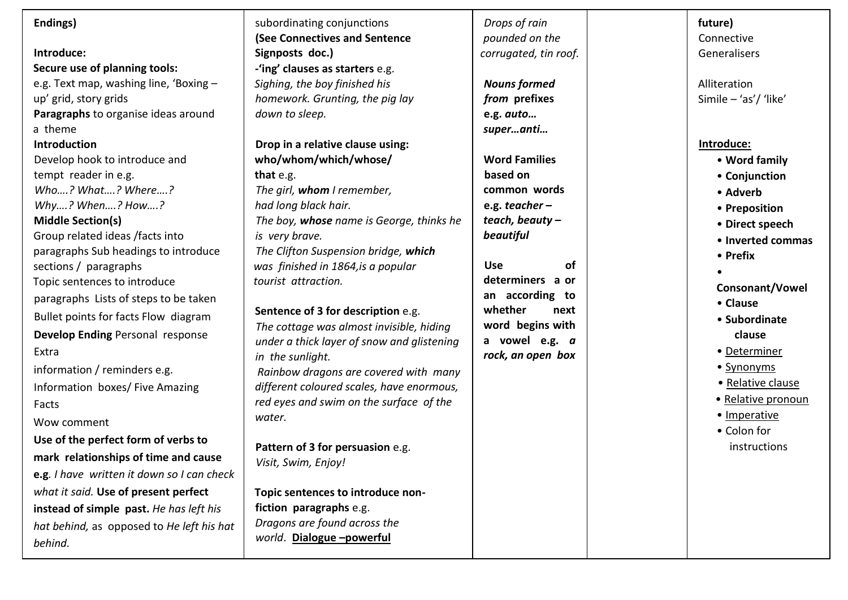| Endings)<br>Introduce:<br>Secure use of planning tools:<br>e.g. Text map, washing line, 'Boxing -<br>up' grid, story grids<br>Paragraphs to organise ideas around<br>a theme<br>Introduction<br>Develop hook to introduce and<br>tempt reader in e.g.<br>Who? What? Where?<br>Why? When? How?<br><b>Middle Section(s)</b><br>Group related ideas /facts into<br>paragraphs Sub headings to introduce<br>sections / paragraphs<br>Topic sentences to introduce<br>paragraphs Lists of steps to be taken<br>Bullet points for facts Flow diagram<br><b>Develop Ending Personal response</b><br>Extra | subordinating conjunctions<br>(See Connectives and Sentence<br>Signposts doc.)<br>-'ing' clauses as starters e.g.<br>Sighing, the boy finished his<br>homework. Grunting, the pig lay<br>down to sleep.<br>Drop in a relative clause using:<br>who/whom/which/whose/<br>that e.g.<br>The girl, whom I remember,<br>had long black hair.<br>The boy, whose name is George, thinks he<br>is very brave.<br>The Clifton Suspension bridge, which<br>was finished in 1864, is a popular<br>tourist attraction.<br>Sentence of 3 for description e.g.<br>The cottage was almost invisible, hiding<br>under a thick layer of snow and glistening | Drops of rain<br>pounded on the<br>corrugated, tin roof.<br><b>Nouns formed</b><br>from prefixes<br>e.g. auto<br>superanti<br><b>Word Families</b><br>based on<br>common words<br>e.g. teacher $-$<br>teach, beauty-<br>beautiful<br><b>Use</b><br>0f<br>determiners a or<br>an according to<br>whether<br>next<br>word begins with<br>a vowel e.g. a | future)<br>Connective<br>Generalisers<br>Alliteration<br>Simile $-$ 'as'/ 'like'<br>Introduce:<br>• Word family<br>• Conjunction<br>• Adverb<br>• Preposition<br>• Direct speech<br>• Inverted commas<br>• Prefix<br><b>Consonant/Vowel</b><br>• Clause<br>• Subordinate<br>clause<br>• Determiner |
|----------------------------------------------------------------------------------------------------------------------------------------------------------------------------------------------------------------------------------------------------------------------------------------------------------------------------------------------------------------------------------------------------------------------------------------------------------------------------------------------------------------------------------------------------------------------------------------------------|--------------------------------------------------------------------------------------------------------------------------------------------------------------------------------------------------------------------------------------------------------------------------------------------------------------------------------------------------------------------------------------------------------------------------------------------------------------------------------------------------------------------------------------------------------------------------------------------------------------------------------------------|-------------------------------------------------------------------------------------------------------------------------------------------------------------------------------------------------------------------------------------------------------------------------------------------------------------------------------------------------------|----------------------------------------------------------------------------------------------------------------------------------------------------------------------------------------------------------------------------------------------------------------------------------------------------|
| information / reminders e.g.<br>Information boxes/ Five Amazing<br>Facts<br>Wow comment<br>Use of the perfect form of verbs to<br>mark relationships of time and cause<br>e.g. I have written it down so I can check<br>what it said. Use of present perfect<br>instead of simple past. He has left his<br>hat behind, as opposed to He left his hat<br>behind.                                                                                                                                                                                                                                    | in the sunlight.<br>Rainbow dragons are covered with many<br>different coloured scales, have enormous,<br>red eyes and swim on the surface of the<br>water.<br>Pattern of 3 for persuasion e.g.<br>Visit, Swim, Enjoy!<br>Topic sentences to introduce non-<br>fiction paragraphs e.g.<br>Dragons are found across the<br>world. Dialogue-powerful                                                                                                                                                                                                                                                                                         | rock, an open box                                                                                                                                                                                                                                                                                                                                     | • Synonyms<br>• Relative clause<br>• Relative pronoun<br>· Imperative<br>• Colon for<br>instructions                                                                                                                                                                                               |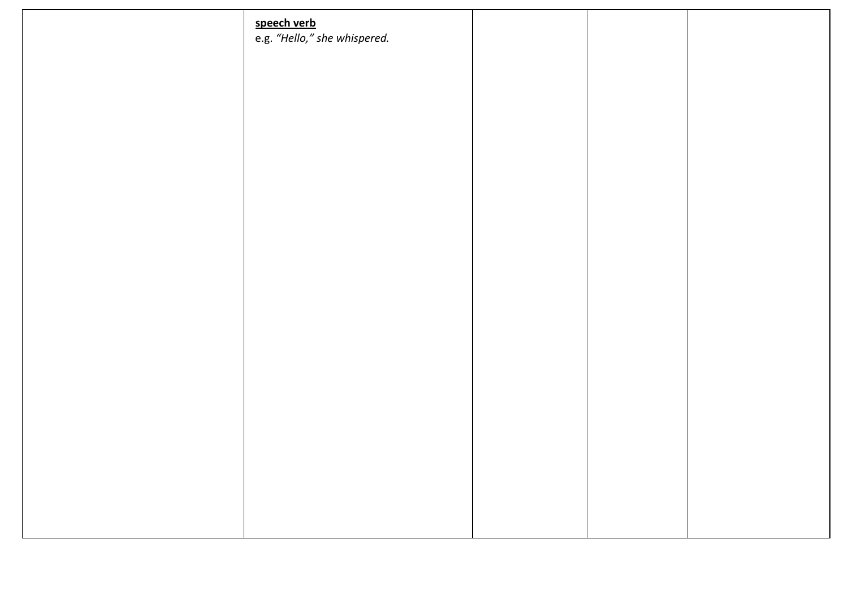| speech verb<br>e.g. "Hello," she whispered. |  |  |
|---------------------------------------------|--|--|
|                                             |  |  |
|                                             |  |  |
|                                             |  |  |
|                                             |  |  |
|                                             |  |  |
|                                             |  |  |
|                                             |  |  |
|                                             |  |  |
|                                             |  |  |
|                                             |  |  |
|                                             |  |  |
|                                             |  |  |
|                                             |  |  |
|                                             |  |  |
|                                             |  |  |
|                                             |  |  |
|                                             |  |  |
|                                             |  |  |
|                                             |  |  |
|                                             |  |  |
|                                             |  |  |
|                                             |  |  |
|                                             |  |  |
|                                             |  |  |
|                                             |  |  |
|                                             |  |  |
|                                             |  |  |
|                                             |  |  |
|                                             |  |  |
|                                             |  |  |
|                                             |  |  |
|                                             |  |  |
|                                             |  |  |
|                                             |  |  |
|                                             |  |  |
|                                             |  |  |
|                                             |  |  |
|                                             |  |  |
|                                             |  |  |
|                                             |  |  |
|                                             |  |  |
|                                             |  |  |
|                                             |  |  |
|                                             |  |  |
|                                             |  |  |
|                                             |  |  |
|                                             |  |  |
|                                             |  |  |
|                                             |  |  |
|                                             |  |  |
|                                             |  |  |
|                                             |  |  |
|                                             |  |  |
|                                             |  |  |
|                                             |  |  |
|                                             |  |  |
|                                             |  |  |
|                                             |  |  |
|                                             |  |  |
|                                             |  |  |
|                                             |  |  |
|                                             |  |  |
|                                             |  |  |
|                                             |  |  |
|                                             |  |  |
|                                             |  |  |
|                                             |  |  |
|                                             |  |  |
|                                             |  |  |
|                                             |  |  |
|                                             |  |  |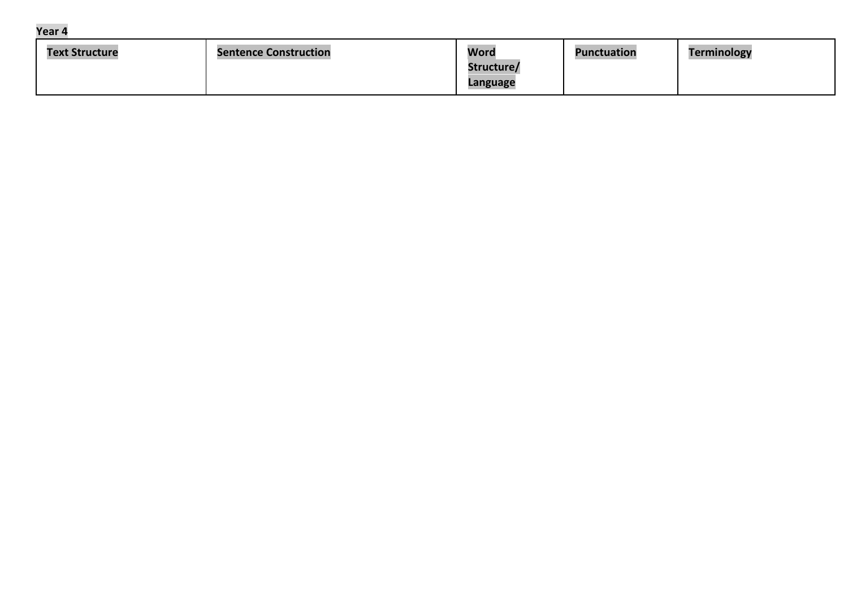| Year 4 |  |
|--------|--|
|--------|--|

| <b>Text Structure</b> | <b>Sentence Construction</b> | Word                   | <b>Punctuation</b> | Terminology |
|-----------------------|------------------------------|------------------------|--------------------|-------------|
|                       |                              | Structure/<br>Language |                    |             |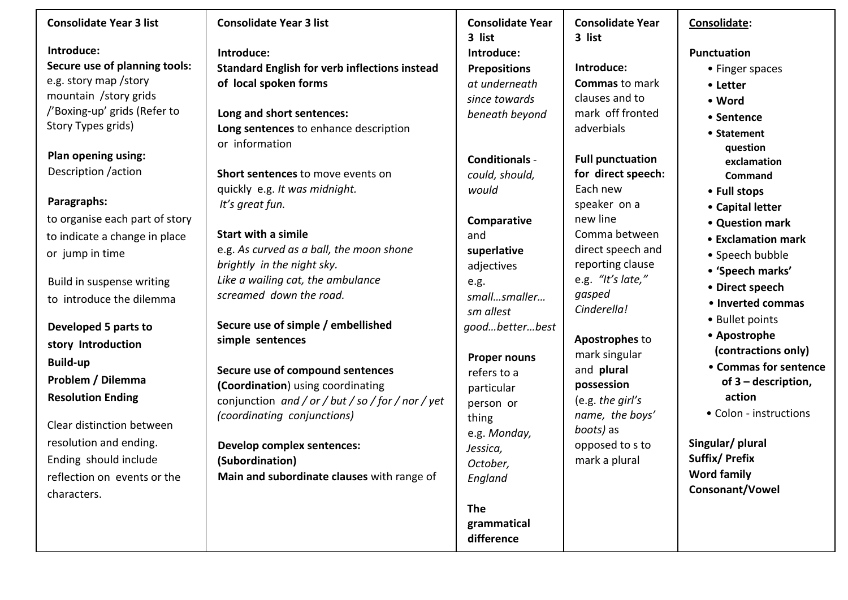## **Consolidate Year 3 list**

**Introduce: Secure use of planning tools:**  e.g. story map /story mountain /story grids /'Boxing-up' grids (Refer to Story Types grids)

**Plan opening using:**  Description /action

### **Paragraphs:**

to organise each part of story to indicate a change in place or jump in time

Build in suspense writing to introduce the dilemma

**Developed 5 parts to story Introduction Build-up Problem / Dilemma Resolution Ending** 

Clear distinction between resolution and ending. Ending should include reflection on events or the characters.

## **Consolidate Year 3 list**

**Introduce: Standard English for verb inflections instead of local spoken forms** 

**Long and short sentences: Long sentences** to enhance description or information

**Short sentences** to move events on quickly e.g. *It was midnight. It's great fun.* 

**Start with a simile**  e.g. *As curved as a ball, the moon shone brightly in the night sky. Like a wailing cat, the ambulance screamed down the road.* 

**Secure use of simple / embellished simple sentences** 

**Secure use of compound sentences (Coordination**) using coordinating conjunction *and / or / but / so / for / nor / yet (coordinating conjunctions)* 

**Develop complex sentences: (Subordination) Main and subordinate clauses** with range of

## **Consolidate Year 3 list Introduce: Prepositions**  *at underneath since towards beneath beyond*

**Conditionals**  *could, should, would* 

**Comparative**  and **superlative**  adjectives e.g. *small…smaller… sm allest good…better…best* 

**Proper nouns** refers to a particular person or thing e.g. *Monday, Jessica, October, England* 

**The grammatical difference**

## **Consolidate Year 3 list**

**Introduce: Commas** to mark clauses and to mark off fronted adverbials

**Full punctuation for direct speech:**  Each new speaker on a new line Comma between direct speech and reporting clause e.g. *"It's late," gasped Cinderella!* 

**Apostrophes** to mark singular and **plural possession**  (e.g. *the girl's name, the boys' boots)* as opposed to s to mark a plural

#### **Consolidate:**

#### **Punctuation**

- Finger spaces
- **Letter**
- **Word**
- **Sentence**
- **Statement question exclamation Command**
- **Full stops**
- **Capital letter**
- **Question mark**
- **Exclamation mark**
- Speech bubble
- **'Speech marks'**
- **Direct speech**
- **Inverted commas**
- Bullet points
- **Apostrophe (contractions only)**
- **Commas for sentence of 3 – description, action**
- Colon instructions

**Singular/ plural Suffix/ Prefix Word family Consonant/Vowel**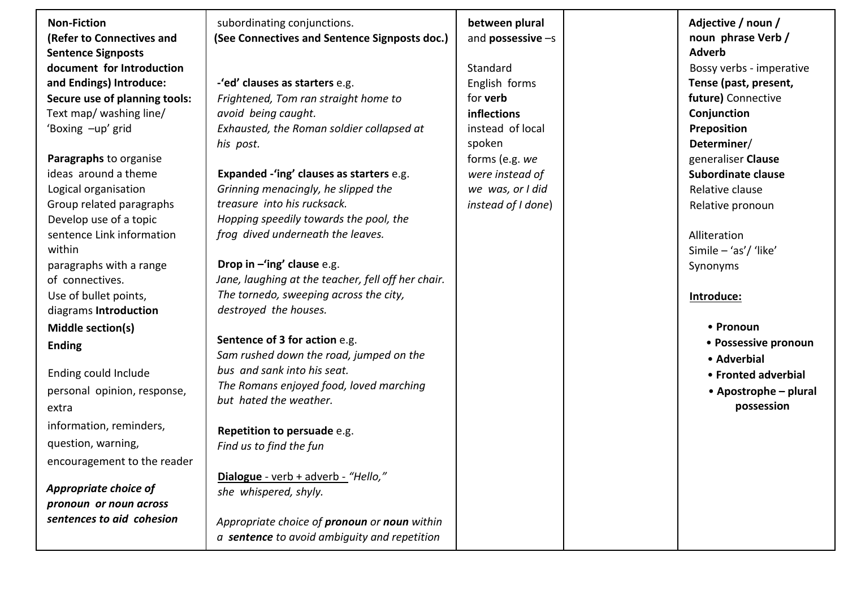| <b>Non-Fiction</b><br>(Refer to Connectives and<br><b>Sentence Signposts</b><br>document for Introduction<br>and Endings) Introduce:<br>Secure use of planning tools:<br>Text map/ washing line/<br>'Boxing -up' grid<br>Paragraphs to organise<br>ideas around a theme<br>Logical organisation<br>Group related paragraphs<br>Develop use of a topic<br>sentence Link information<br>within<br>paragraphs with a range<br>of connectives.<br>Use of bullet points,<br>diagrams Introduction<br>Middle section(s)<br><b>Ending</b><br>Ending could Include<br>personal opinion, response,<br>extra<br>information, reminders,<br>question, warning,<br>encouragement to the reader<br>Appropriate choice of<br>pronoun or noun across | subordinating conjunctions.<br>(See Connectives and Sentence Signposts doc.)<br>-'ed' clauses as starters e.g.<br>Frightened, Tom ran straight home to<br>avoid being caught.<br>Exhausted, the Roman soldier collapsed at<br>his post.<br>Expanded -'ing' clauses as starters e.g.<br>Grinning menacingly, he slipped the<br>treasure into his rucksack.<br>Hopping speedily towards the pool, the<br>frog dived underneath the leaves.<br>Drop in $-\text{ing}'$ clause e.g.<br>Jane, laughing at the teacher, fell off her chair.<br>The tornedo, sweeping across the city,<br>destroyed the houses.<br>Sentence of 3 for action e.g.<br>Sam rushed down the road, jumped on the<br>bus and sank into his seat.<br>The Romans enjoyed food, loved marching<br>but hated the weather.<br>Repetition to persuade e.g.<br>Find us to find the fun<br>Dialogue - verb + adverb - "Hello,"<br>she whispered, shyly. | between plural<br>and <b>possessive</b> $-s$<br>Standard<br>English forms<br>for <b>verb</b><br>inflections<br>instead of local<br>spoken<br>forms (e.g. we<br>were instead of<br>we was, or I did<br>instead of I done) | Adjective / noun /<br>noun phrase Verb /<br><b>Adverb</b><br>Bossy verbs - imperative<br>Tense (past, present,<br>future) Connective<br>Conjunction<br>Preposition<br>Determiner/<br>generaliser Clause<br>Subordinate clause<br>Relative clause<br>Relative pronoun<br>Alliteration<br>Simile - 'as'/ 'like'<br>Synonyms<br>Introduce:<br>• Pronoun<br>• Possessive pronoun<br>• Adverbial<br>• Fronted adverbial<br>• Apostrophe – plural<br>possession |
|---------------------------------------------------------------------------------------------------------------------------------------------------------------------------------------------------------------------------------------------------------------------------------------------------------------------------------------------------------------------------------------------------------------------------------------------------------------------------------------------------------------------------------------------------------------------------------------------------------------------------------------------------------------------------------------------------------------------------------------|-------------------------------------------------------------------------------------------------------------------------------------------------------------------------------------------------------------------------------------------------------------------------------------------------------------------------------------------------------------------------------------------------------------------------------------------------------------------------------------------------------------------------------------------------------------------------------------------------------------------------------------------------------------------------------------------------------------------------------------------------------------------------------------------------------------------------------------------------------------------------------------------------------------------|--------------------------------------------------------------------------------------------------------------------------------------------------------------------------------------------------------------------------|-----------------------------------------------------------------------------------------------------------------------------------------------------------------------------------------------------------------------------------------------------------------------------------------------------------------------------------------------------------------------------------------------------------------------------------------------------------|
| sentences to aid cohesion                                                                                                                                                                                                                                                                                                                                                                                                                                                                                                                                                                                                                                                                                                             | Appropriate choice of pronoun or noun within<br>a sentence to avoid ambiguity and repetition                                                                                                                                                                                                                                                                                                                                                                                                                                                                                                                                                                                                                                                                                                                                                                                                                      |                                                                                                                                                                                                                          |                                                                                                                                                                                                                                                                                                                                                                                                                                                           |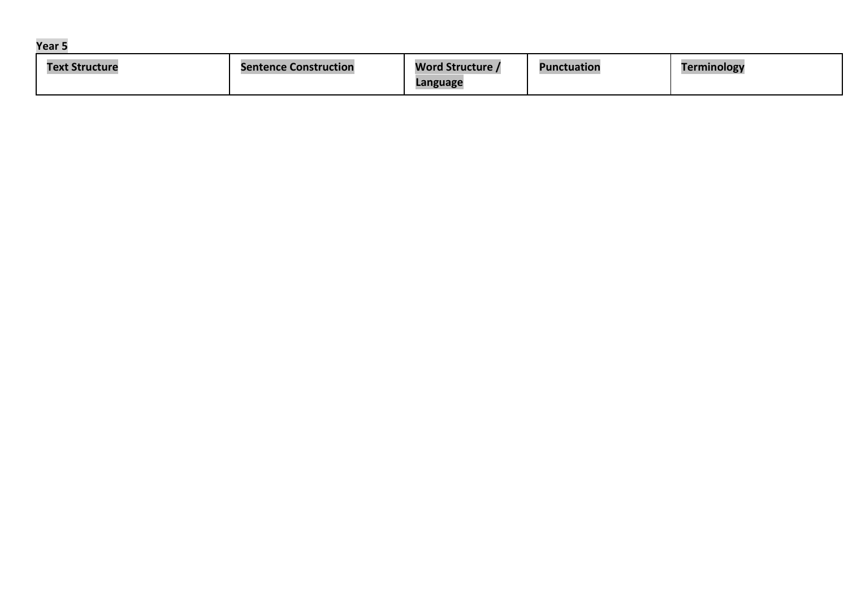| ar |  |
|----|--|
|----|--|

| Text<br><b>Structure</b> | <b>Sentence Construction</b> | <b>Word Structure /</b> | <b>Punctuation</b> | <b>Terminology</b> |
|--------------------------|------------------------------|-------------------------|--------------------|--------------------|
|                          |                              | Language                |                    |                    |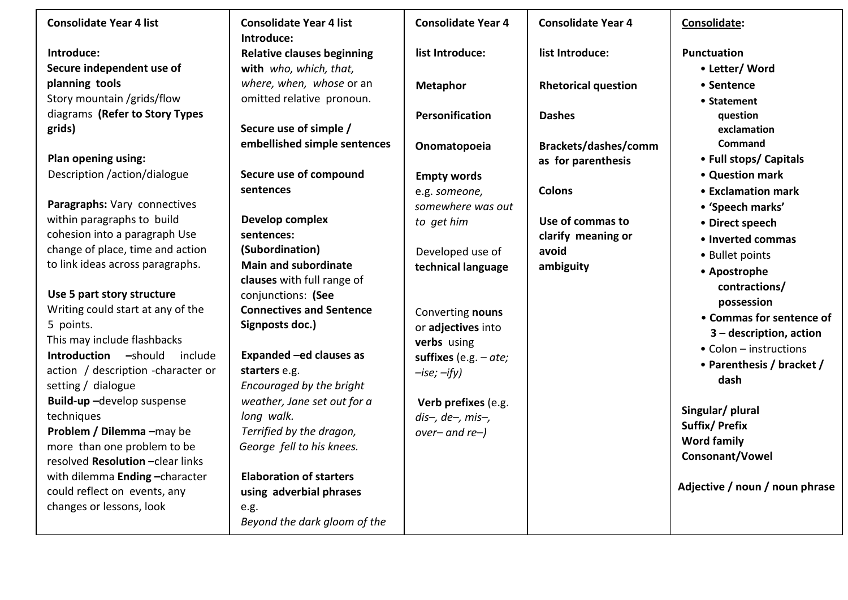| <b>Consolidate Year 4 list</b>                                   | <b>Consolidate Year 4 list</b><br>Introduce: | <b>Consolidate Year 4</b> | <b>Consolidate Year 4</b>  | Consolidate:                   |
|------------------------------------------------------------------|----------------------------------------------|---------------------------|----------------------------|--------------------------------|
| Introduce:                                                       | <b>Relative clauses beginning</b>            | list Introduce:           | list Introduce:            | Punctuation                    |
| Secure independent use of                                        | with who, which, that,                       |                           |                            | • Letter/ Word                 |
| planning tools                                                   | where, when, whose or an                     | <b>Metaphor</b>           | <b>Rhetorical question</b> | • Sentence                     |
| Story mountain /grids/flow                                       | omitted relative pronoun.                    |                           |                            | • Statement                    |
| diagrams (Refer to Story Types                                   |                                              | Personification           | <b>Dashes</b>              | question                       |
| grids)                                                           | Secure use of simple /                       |                           |                            | exclamation                    |
|                                                                  | embellished simple sentences                 | Onomatopoeia              | Brackets/dashes/comm       | <b>Command</b>                 |
| Plan opening using:                                              |                                              |                           | as for parenthesis         | • Full stops/ Capitals         |
| Description /action/dialogue                                     | Secure use of compound                       | <b>Empty words</b>        |                            | • Question mark                |
|                                                                  | sentences                                    | e.g. someone,             | <b>Colons</b>              | • Exclamation mark             |
| Paragraphs: Vary connectives                                     |                                              | somewhere was out         |                            | • 'Speech marks'               |
| within paragraphs to build                                       | Develop complex                              | to get him                | Use of commas to           | • Direct speech                |
| cohesion into a paragraph Use                                    | sentences:                                   |                           | clarify meaning or         | • Inverted commas              |
| change of place, time and action                                 | (Subordination)                              | Developed use of          | avoid                      | • Bullet points                |
| to link ideas across paragraphs.                                 | <b>Main and subordinate</b>                  | technical language        | ambiguity                  | • Apostrophe                   |
|                                                                  | clauses with full range of                   |                           |                            | contractions/                  |
| Use 5 part story structure                                       | conjunctions: (See                           |                           |                            | possession                     |
| Writing could start at any of the                                | <b>Connectives and Sentence</b>              | Converting nouns          |                            | • Commas for sentence of       |
| 5 points.                                                        | Signposts doc.)                              | or adjectives into        |                            | $3 -$ description, action      |
| This may include flashbacks                                      |                                              | verbs using               |                            | • Colon – instructions         |
| <b>Introduction</b> -should<br>include                           | Expanded -ed clauses as                      | suffixes (e.g. $-$ ate;   |                            | • Parenthesis / bracket /      |
| action / description - character or                              | starters e.g.                                | $-ise; -ify)$             |                            | dash                           |
| setting / dialogue                                               | Encouraged by the bright                     |                           |                            |                                |
| Build-up-develop suspense                                        | weather, Jane set out for a                  | Verb prefixes (e.g.       |                            | Singular/ plural               |
| techniques                                                       | long walk.                                   | $dis-, de-, mis-,$        |                            | <b>Suffix/Prefix</b>           |
| Problem / Dilemma -may be                                        | Terrified by the dragon,                     | $over-and$ re- $)$        |                            | <b>Word family</b>             |
| more than one problem to be<br>resolved Resolution - clear links | George fell to his knees.                    |                           |                            | Consonant/Vowel                |
| with dilemma Ending-character                                    | <b>Elaboration of starters</b>               |                           |                            |                                |
| could reflect on events, any                                     | using adverbial phrases                      |                           |                            | Adjective / noun / noun phrase |
| changes or lessons, look                                         | e.g.                                         |                           |                            |                                |
|                                                                  | Beyond the dark gloom of the                 |                           |                            |                                |
|                                                                  |                                              |                           |                            |                                |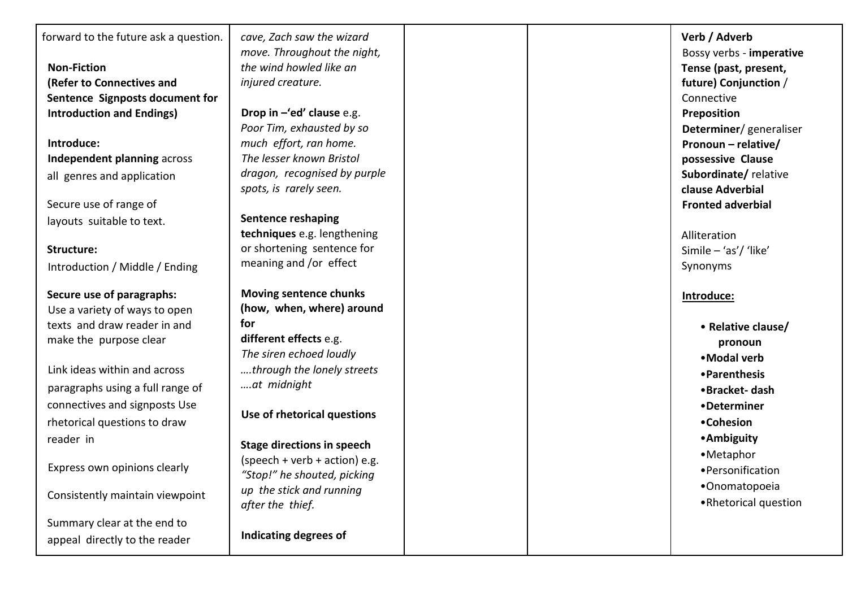| forward to the future ask a question. | cave, Zach saw the wizard<br>move. Throughout the night, | Verb / Adverb<br>Bossy verbs - imperative |
|---------------------------------------|----------------------------------------------------------|-------------------------------------------|
| <b>Non-Fiction</b>                    | the wind howled like an                                  | Tense (past, present,                     |
| (Refer to Connectives and             | injured creature.                                        | future) Conjunction /                     |
| Sentence Signposts document for       |                                                          | Connective                                |
| <b>Introduction and Endings)</b>      | Drop in $-\ell$ ed' clause e.g.                          | Preposition                               |
|                                       | Poor Tim, exhausted by so                                | Determiner/generaliser                    |
| Introduce:                            | much effort, ran home.                                   | Pronoun - relative/                       |
| Independent planning across           | The lesser known Bristol                                 | possessive Clause                         |
| all genres and application            | dragon, recognised by purple                             | Subordinate/relative                      |
|                                       | spots, is rarely seen.                                   | clause Adverbial                          |
| Secure use of range of                |                                                          | <b>Fronted adverbial</b>                  |
| layouts suitable to text.             | <b>Sentence reshaping</b>                                |                                           |
|                                       | techniques e.g. lengthening                              | Alliteration                              |
| Structure:                            | or shortening sentence for                               | Simile $-$ 'as'/ 'like'                   |
| Introduction / Middle / Ending        | meaning and /or effect                                   | Synonyms                                  |
| Secure use of paragraphs:             | <b>Moving sentence chunks</b>                            | Introduce:                                |
| Use a variety of ways to open         | (how, when, where) around                                |                                           |
| texts and draw reader in and          | for                                                      | • Relative clause/                        |
| make the purpose clear                | different effects e.g.                                   | pronoun                                   |
|                                       | The siren echoed loudly                                  | •Modal verb                               |
| Link ideas within and across          | through the lonely streets                               | • Parenthesis                             |
| paragraphs using a full range of      | at midnight                                              | •Bracket-dash                             |
| connectives and signposts Use         |                                                          | •Determiner                               |
| rhetorical questions to draw          | Use of rhetorical questions                              | •Cohesion                                 |
| reader in                             |                                                          | • Ambiguity                               |
|                                       | <b>Stage directions in speech</b>                        | •Metaphor                                 |
| Express own opinions clearly          | (speech + verb + action) e.g.                            | • Personification                         |
|                                       | "Stop!" he shouted, picking                              | •Onomatopoeia                             |
| Consistently maintain viewpoint       | up the stick and running                                 | .Rhetorical question                      |
|                                       | after the thief.                                         |                                           |
| Summary clear at the end to           |                                                          |                                           |
| appeal directly to the reader         | Indicating degrees of                                    |                                           |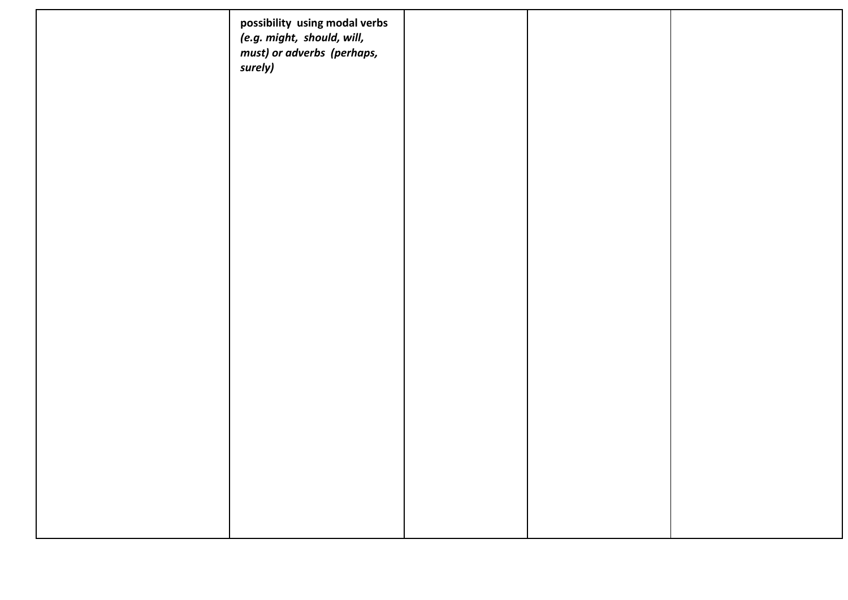| possibility using modal verbs<br>(e.g. might, should, will,<br>must) or adverbs (perhaps,<br>surely) |  |  |
|------------------------------------------------------------------------------------------------------|--|--|
|                                                                                                      |  |  |
|                                                                                                      |  |  |
|                                                                                                      |  |  |
|                                                                                                      |  |  |
|                                                                                                      |  |  |
|                                                                                                      |  |  |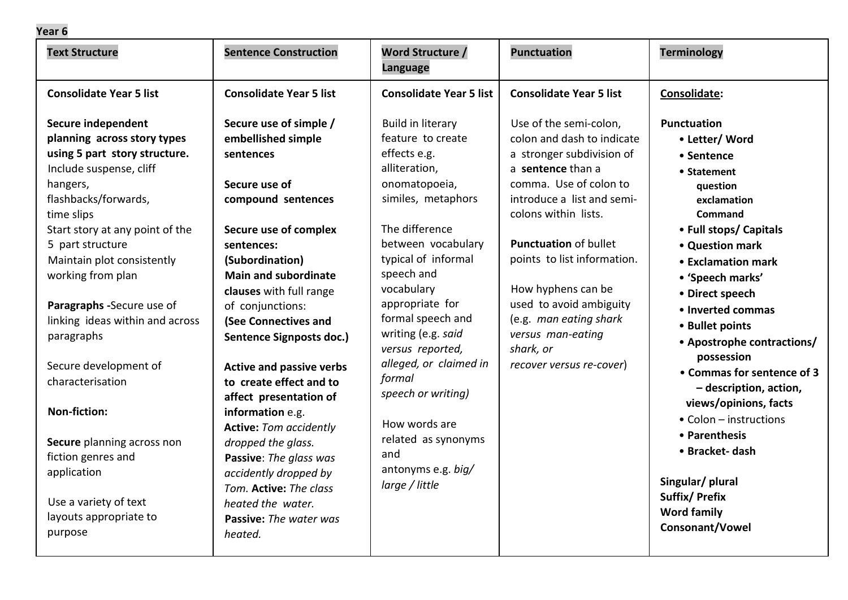## **Year 6**

| <b>Text Structure</b>                                                                                                                                                                                                                                                                                                                                                                                                                                                                                                                                        | <b>Sentence Construction</b>                                                                                                                                                                                                                                                                                                                                                                                                                                                                                                                                                                                  | <b>Word Structure /</b><br><b>Language</b>                                                                                                                                                                                                                                                                                                                                                                                                   | <b>Punctuation</b>                                                                                                                                                                                                                                                                                                                                                                             | <b>Terminology</b>                                                                                                                                                                                                                                                                                                                                                                                                                                                                                                                        |
|--------------------------------------------------------------------------------------------------------------------------------------------------------------------------------------------------------------------------------------------------------------------------------------------------------------------------------------------------------------------------------------------------------------------------------------------------------------------------------------------------------------------------------------------------------------|---------------------------------------------------------------------------------------------------------------------------------------------------------------------------------------------------------------------------------------------------------------------------------------------------------------------------------------------------------------------------------------------------------------------------------------------------------------------------------------------------------------------------------------------------------------------------------------------------------------|----------------------------------------------------------------------------------------------------------------------------------------------------------------------------------------------------------------------------------------------------------------------------------------------------------------------------------------------------------------------------------------------------------------------------------------------|------------------------------------------------------------------------------------------------------------------------------------------------------------------------------------------------------------------------------------------------------------------------------------------------------------------------------------------------------------------------------------------------|-------------------------------------------------------------------------------------------------------------------------------------------------------------------------------------------------------------------------------------------------------------------------------------------------------------------------------------------------------------------------------------------------------------------------------------------------------------------------------------------------------------------------------------------|
| <b>Consolidate Year 5 list</b>                                                                                                                                                                                                                                                                                                                                                                                                                                                                                                                               | <b>Consolidate Year 5 list</b>                                                                                                                                                                                                                                                                                                                                                                                                                                                                                                                                                                                | <b>Consolidate Year 5 list</b>                                                                                                                                                                                                                                                                                                                                                                                                               | <b>Consolidate Year 5 list</b>                                                                                                                                                                                                                                                                                                                                                                 | Consolidate:                                                                                                                                                                                                                                                                                                                                                                                                                                                                                                                              |
| Secure independent<br>planning across story types<br>using 5 part story structure.<br>Include suspense, cliff<br>hangers,<br>flashbacks/forwards,<br>time slips<br>Start story at any point of the<br>5 part structure<br>Maintain plot consistently<br>working from plan<br>Paragraphs -Secure use of<br>linking ideas within and across<br>paragraphs<br>Secure development of<br>characterisation<br><b>Non-fiction:</b><br>Secure planning across non<br>fiction genres and<br>application<br>Use a variety of text<br>layouts appropriate to<br>purpose | Secure use of simple /<br>embellished simple<br>sentences<br>Secure use of<br>compound sentences<br>Secure use of complex<br>sentences:<br>(Subordination)<br><b>Main and subordinate</b><br>clauses with full range<br>of conjunctions:<br>(See Connectives and<br><b>Sentence Signposts doc.)</b><br><b>Active and passive verbs</b><br>to create effect and to<br>affect presentation of<br>information e.g.<br><b>Active: Tom accidently</b><br>dropped the glass.<br>Passive: The glass was<br>accidently dropped by<br>Tom. Active: The class<br>heated the water.<br>Passive: The water was<br>heated. | Build in literary<br>feature to create<br>effects e.g.<br>alliteration,<br>onomatopoeia,<br>similes, metaphors<br>The difference<br>between vocabulary<br>typical of informal<br>speech and<br>vocabulary<br>appropriate for<br>formal speech and<br>writing (e.g. said<br>versus reported,<br>alleged, or claimed in<br>formal<br>speech or writing)<br>How words are<br>related as synonyms<br>and<br>antonyms e.g. big/<br>large / little | Use of the semi-colon,<br>colon and dash to indicate<br>a stronger subdivision of<br>a sentence than a<br>comma. Use of colon to<br>introduce a list and semi-<br>colons within lists.<br><b>Punctuation of bullet</b><br>points to list information.<br>How hyphens can be<br>used to avoid ambiguity<br>(e.g. man eating shark<br>versus man-eating<br>shark, or<br>recover versus re-cover) | <b>Punctuation</b><br>• Letter/ Word<br>• Sentence<br>• Statement<br>question<br>exclamation<br>Command<br>• Full stops/ Capitals<br>• Question mark<br>• Exclamation mark<br>• 'Speech marks'<br>• Direct speech<br>• Inverted commas<br>• Bullet points<br>• Apostrophe contractions/<br>possession<br>• Commas for sentence of 3<br>- description, action,<br>views/opinions, facts<br>• Colon - instructions<br>• Parenthesis<br>• Bracket- dash<br>Singular/ plural<br><b>Suffix/Prefix</b><br><b>Word family</b><br>Consonant/Vowel |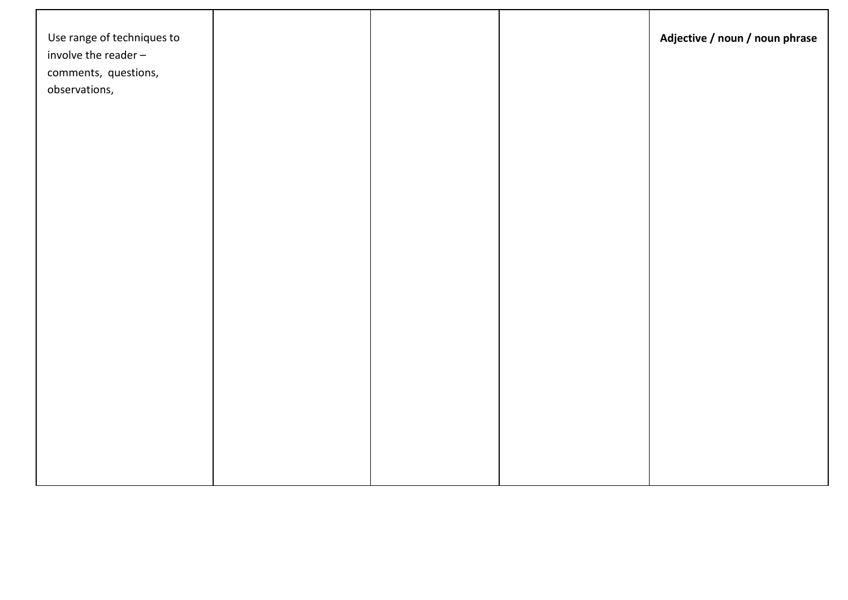| Use range of techniques to<br>involve the reader $-$<br>comments, questions, |  | Adjective / noun / noun phrase |
|------------------------------------------------------------------------------|--|--------------------------------|
| observations,                                                                |  |                                |
|                                                                              |  |                                |
|                                                                              |  |                                |
|                                                                              |  |                                |
|                                                                              |  |                                |
|                                                                              |  |                                |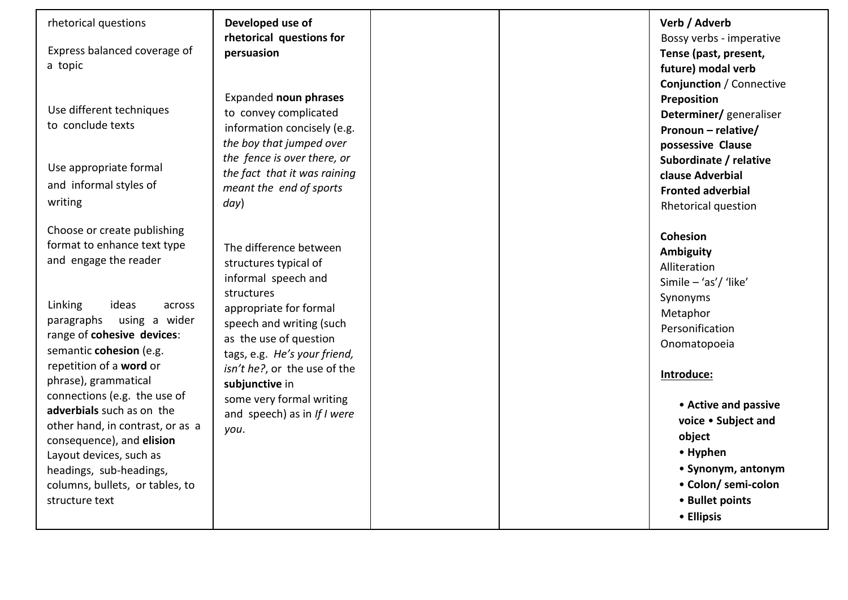Express balanced coverage of a topic

Use different techniques to conclude texts

Use appropriate formal and informal styles of writing

Choose or create publishing format to enhance text type and engage the reader

Linking ideas across paragraphs using a wider range of **cohesive devices**: semantic **cohesion** (e.g. repetition of a **word** or phrase), grammatical connections (e.g. the use of **adverbials** such as on the other hand, in contrast, or as a consequence), and **elision**  Layout devices, such as headings, sub -headings, columns, bullets, or tables, to structure text

**Developed use of rhetorical questions for persuasion** 

Expanded **noun phrases**  to convey complicated information concisely (e.g. *the boy that jumped over the fence is over there, or the fact that it was raining meant the end of sports day*)

The difference between structures typical of informal speech and structures appropriate for formal speech and writing (such as the use of question tags, e.g. *He's your friend, isn't he?*, or the use of the **subjunctive** in some very formal writing and speech) as in *If I were you* .

**Verb / Adverb**  Bossy verbs - imperative **Tense (past, present, future) modal verb Conjunction** / Connective **Preposition Determiner/** generaliser **Pronoun – relative/ possessive Clause Subordinate / relative clause Adverbial Fronted adverbial**  Rhetorical question **Cohesion Ambiguity**  Alliteration Simile – 'as'/ 'like'

Synonyms Metaphor Personification Onomatopoeia

### **Introduce:**

- **Active and passive voice** • **Subject and object**  • **Hyphen**  • **Synonym, antonym**  • **Colon/ semi -colon**  • **Bullet points**
- **Ellipsis**